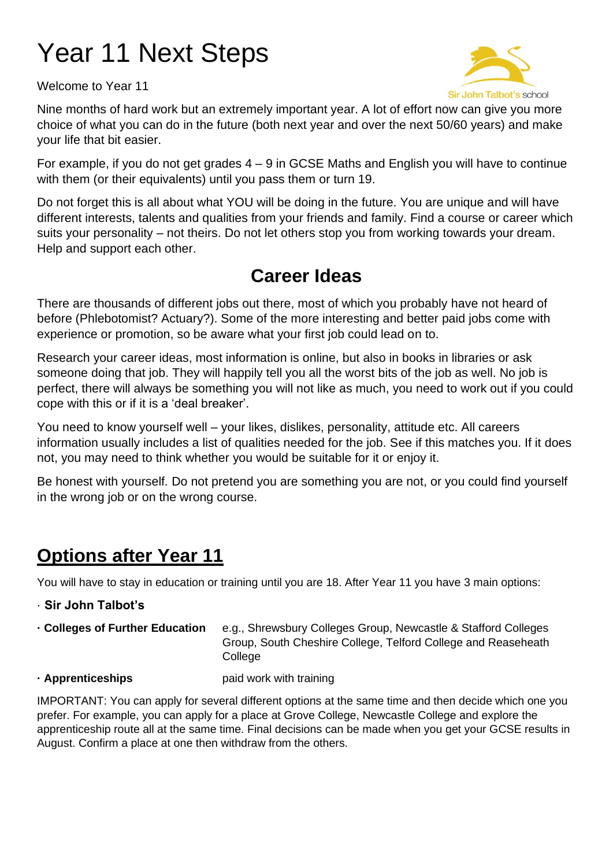# Year 11 Next Steps

Welcome to Year 11



Nine months of hard work but an extremely important year. A lot of effort now can give you more choice of what you can do in the future (both next year and over the next 50/60 years) and make your life that bit easier.

For example, if you do not get grades 4 – 9 in GCSE Maths and English you will have to continue with them (or their equivalents) until you pass them or turn 19.

Do not forget this is all about what YOU will be doing in the future. You are unique and will have different interests, talents and qualities from your friends and family. Find a course or career which suits your personality – not theirs. Do not let others stop you from working towards your dream. Help and support each other.

# **Career Ideas**

There are thousands of different jobs out there, most of which you probably have not heard of before (Phlebotomist? Actuary?). Some of the more interesting and better paid jobs come with experience or promotion, so be aware what your first job could lead on to.

Research your career ideas, most information is online, but also in books in libraries or ask someone doing that job. They will happily tell you all the worst bits of the job as well. No job is perfect, there will always be something you will not like as much, you need to work out if you could cope with this or if it is a 'deal breaker'.

You need to know yourself well – your likes, dislikes, personality, attitude etc. All careers information usually includes a list of qualities needed for the job. See if this matches you. If it does not, you may need to think whether you would be suitable for it or enjoy it.

Be honest with yourself. Do not pretend you are something you are not, or you could find yourself in the wrong job or on the wrong course.

# **Options after Year 11**

You will have to stay in education or training until you are 18. After Year 11 you have 3 main options:

- · **Sir John Talbot's**
- **· Colleges of Further Education** e.g., Shrewsbury Colleges Group, Newcastle & Stafford Colleges Group, South Cheshire College, Telford College and Reaseheath **College**
- **· Apprenticeships** paid work with training

IMPORTANT: You can apply for several different options at the same time and then decide which one you prefer. For example, you can apply for a place at Grove College, Newcastle College and explore the apprenticeship route all at the same time. Final decisions can be made when you get your GCSE results in August. Confirm a place at one then withdraw from the others.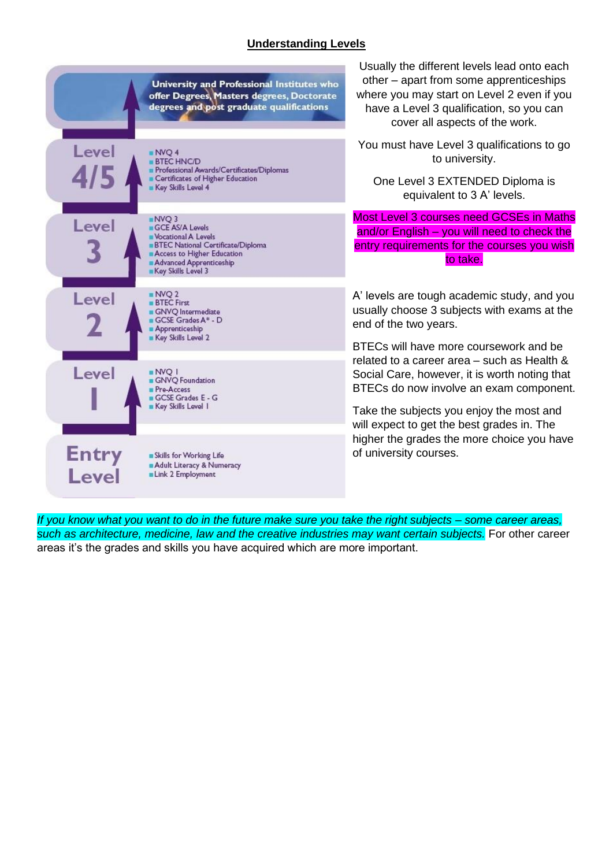#### **Understanding Levels**



*If you know what you want to do in the future make sure you take the right subjects – some career areas, such as architecture, medicine, law and the creative industries may want certain subjects.* For other career areas it's the grades and skills you have acquired which are more important.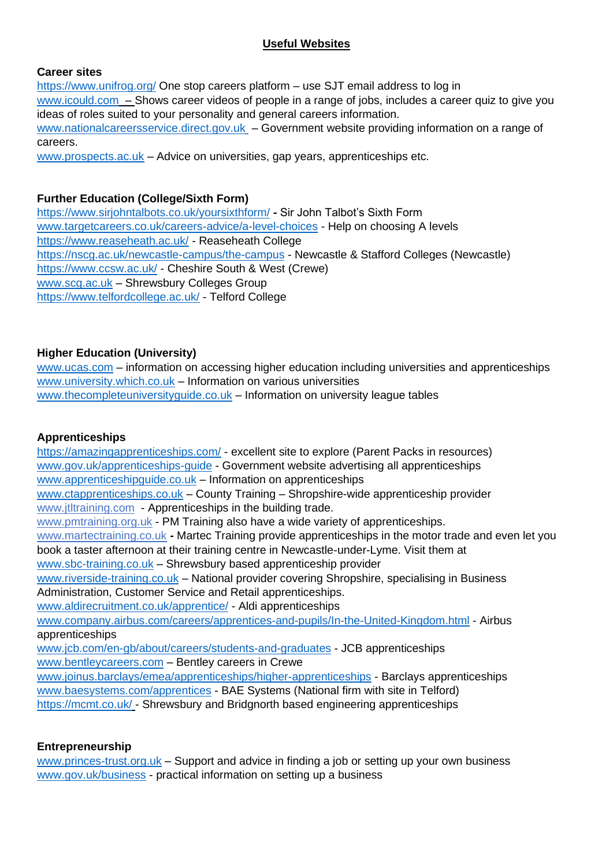## **Useful Websites**

## **Career sites**

<https://www.unifrog.org/> One stop careers platform – use SJT email address to log in [www.icould.com](http://www.icould.com/) – Shows career videos of people in a range of jobs, includes a career quiz to give you ideas of roles suited to your personality and general careers information. [www.nationalcareersservice.direct.gov.uk](http://www.nationalcareersservice.direct.gov.uk/) – Government website providing information on a range of careers.

[www.prospects.ac.uk](http://www.prospects.ac.uk/) – Advice on universities, gap years, apprenticeships etc.

## **Further Education (College/Sixth Form)**

<https://www.sirjohntalbots.co.uk/yoursixthform/> **-** Sir John Talbot's Sixth Form [www.targetcareers.co.uk/careers-advice/a-level-choices](http://www.targetcareers.co.uk/careers-advice/a-level-choices) - Help on choosing A levels <https://www.reaseheath.ac.uk/> - Reaseheath College <https://nscg.ac.uk/newcastle-campus/the-campus> - Newcastle & Stafford Colleges (Newcastle) <https://www.ccsw.ac.uk/> - Cheshire South & West (Crewe) [www.scg.ac.uk](http://www.scg.ac.uk/) – Shrewsbury Colleges Group <https://www.telfordcollege.ac.uk/> - Telford College

## **Higher Education (University)**

[www.ucas.com](http://www.ucas.com/) – information on accessing higher education including universities and apprenticeships [www.university.which.co.uk](http://www.university.which.co.uk/) – Information on various universities [www.thecompleteuniversityguide.co.uk](http://www.thecompleteuniversityguide.co.uk/) – Information on university league tables

#### **Apprenticeships**

<https://amazingapprenticeships.com/> - excellent site to explore (Parent Packs in resources) [www.gov.uk/apprenticeships-guide](http://www.gov.uk/apprenticeships-guide) - Government website advertising all apprenticeships [www.apprenticeshipguide.co.uk](http://www.apprenticeshipguide.co.uk/) – Information on apprenticeships

[www.ctapprenticeships.co.uk](http://www.ctapprenticeships.co.uk/) – County Training – Shropshire-wide apprenticeship provider [www.jtltraining.com](http://www.jtltraining.com/) - Apprenticeships in the building trade.

[www.pmtraining.org.uk](http://www.pmtraining.org.uk/) - PM Training also have a wide variety of apprenticeships.

[www.martectraining.co.uk](http://www.martectraining.co.uk/) **-** Martec Training provide apprenticeships in the motor trade and even let you book a taster afternoon at their training centre in Newcastle-under-Lyme. Visit them at

[www.sbc-training.co.uk](http://www.sbc-training.co.uk/) – Shrewsbury based apprenticeship provider

[www.riverside-training.co.uk](http://www.riverside-training.co.uk/) – National provider covering Shropshire, specialising in Business Administration, Customer Service and Retail apprenticeships.

[www.aldirecruitment.co.uk/apprentice/](http://www.aldirecruitment.co.uk/apprentice/) - Aldi apprenticeships

[www.company.airbus.com/careers/apprentices-and-pupils/In-the-United-Kingdom.html](http://www.company.airbus.com/careers/apprentices-and-pupils/In-the-United-Kingdom.html) - Airbus apprenticeships

[www.jcb.com/en-gb/about/careers/students-and-graduates](http://www.jcb.com/en-gb/about/careers/students-and-graduates) - JCB apprenticeships [www.bentleycareers.com](http://www.bentleycareers.com/) – Bentley careers in Crewe

[www.joinus.barclays/emea/apprenticeships/higher-apprenticeships](http://www.joinus.barclays/emea/apprenticeships/higher-apprenticeships) - Barclays apprenticeships [www.baesystems.com/apprentices](http://www.baesystems.com/apprentices) - BAE Systems (National firm with site in Telford) <https://mcmt.co.uk/> - Shrewsbury and Bridgnorth based engineering apprenticeships

#### **Entrepreneurship**

[www.princes-trust.org.uk](http://www.princes-trust.org.uk/) – Support and advice in finding a job or setting up your own business [www.gov.uk/business](http://www.gov.uk/business) - practical information on setting up a business